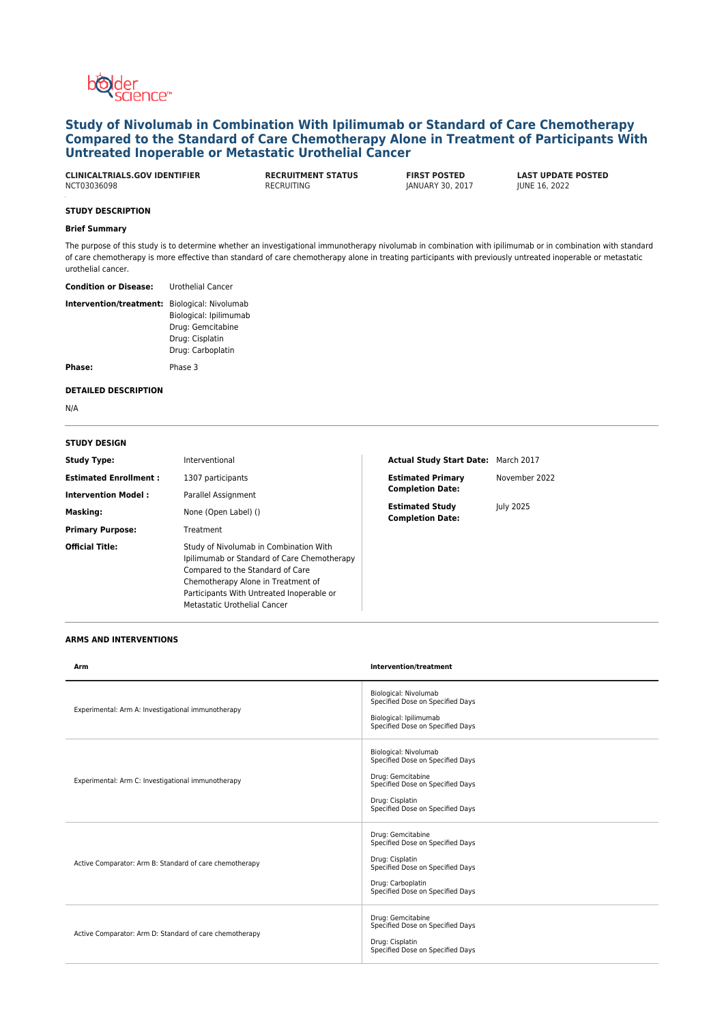

# **Study of Nivolumab in Combination With Ipilimumab or Standard of Care Chemotherapy Compared to the Standard of Care Chemotherapy Alone in Treatment of Participants With Untreated Inoperable or Metastatic Urothelial Cancer**

| <b>CLINICALTRIALS.GOV IDENTIFIER</b> | <b>RECRUITMENT STATUS</b> | <b>FIRST POSTED</b> | <b>LAST UPDAT</b>    |
|--------------------------------------|---------------------------|---------------------|----------------------|
| NCT03036098                          | RECRUITING                | JANUARY 30, 2017    | <b>JUNE 16, 2022</b> |

**CLAST UPDATE POSTED IUNE 16, 2022** 

# **STUDY DESCRIPTION**

## **Brief Summary**

The purpose of this study is to determine whether an investigational immunotherapy nivolumab in combination with ipilimumab or in combination with standard of care chemotherapy is more effective than standard of care chemotherapy alone in treating participants with previously untreated inoperable or metastatic urothelial cancer.

**Condition or Disease:** Urothelial Cancer

| <b>Intervention/treatment:</b> Biological: Nivolumab |                        |
|------------------------------------------------------|------------------------|
|                                                      | Biological: Ipilimumab |
|                                                      | Drug: Gemcitabine      |
|                                                      | Drug: Cisplatin        |
|                                                      | Drug: Carboplatin      |
| Phase:                                               | Phase 3                |

#### **DETAILED DESCRIPTION**

N/A

#### **STUDY DESIGN**

| <b>Study Type:</b>           | Interventional                                                                                                                                                                                                                                      | Actual Study Start Date: March 2017               |               |
|------------------------------|-----------------------------------------------------------------------------------------------------------------------------------------------------------------------------------------------------------------------------------------------------|---------------------------------------------------|---------------|
| <b>Estimated Enrollment:</b> | 1307 participants                                                                                                                                                                                                                                   | <b>Estimated Primary</b>                          | November 2022 |
| <b>Intervention Model:</b>   | Parallel Assignment                                                                                                                                                                                                                                 | <b>Completion Date:</b>                           |               |
| Masking:                     | None (Open Label) ()                                                                                                                                                                                                                                | <b>Estimated Study</b><br><b>Completion Date:</b> | July 2025     |
| <b>Primary Purpose:</b>      | Treatment                                                                                                                                                                                                                                           |                                                   |               |
| <b>Official Title:</b>       | Study of Nivolumab in Combination With<br>Ipilimumab or Standard of Care Chemotherapy<br>Compared to the Standard of Care<br>Chemotherapy Alone in Treatment of<br>Participants With Untreated Inoperable or<br><b>Metastatic Urothelial Cancer</b> |                                                   |               |

#### **ARMS AND INTERVENTIONS**

| Arm                                                     | Intervention/treatment                                                                                                                                                    |
|---------------------------------------------------------|---------------------------------------------------------------------------------------------------------------------------------------------------------------------------|
| Experimental: Arm A: Investigational immunotherapy      | Biological: Nivolumab<br>Specified Dose on Specified Days<br>Biological: Ipilimumab<br>Specified Dose on Specified Days                                                   |
| Experimental: Arm C: Investigational immunotherapy      | Biological: Nivolumab<br>Specified Dose on Specified Days<br>Drug: Gemcitabine<br>Specified Dose on Specified Days<br>Drug: Cisplatin<br>Specified Dose on Specified Days |
| Active Comparator: Arm B: Standard of care chemotherapy | Drug: Gemcitabine<br>Specified Dose on Specified Days<br>Drug: Cisplatin<br>Specified Dose on Specified Days<br>Drug: Carboplatin<br>Specified Dose on Specified Days     |
| Active Comparator: Arm D: Standard of care chemotherapy | Drug: Gemcitabine<br>Specified Dose on Specified Days<br>Drug: Cisplatin<br>Specified Dose on Specified Days                                                              |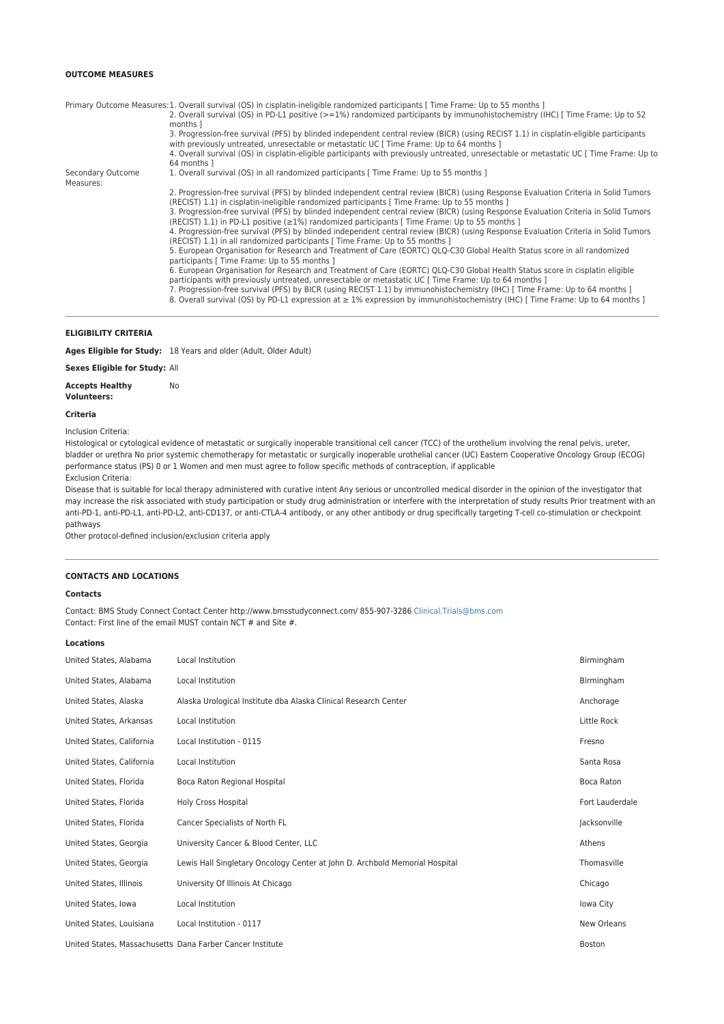## **OUTCOME MEASURES**

|                   | Primary Outcome Measures: 1. Overall survival (OS) in cisplatin-ineligible randomized participants [Time Frame: Up to 55 months ]                                                                                                           |
|-------------------|---------------------------------------------------------------------------------------------------------------------------------------------------------------------------------------------------------------------------------------------|
|                   | 2. Overall survival (OS) in PD-L1 positive (>=1%) randomized participants by immunohistochemistry (IHC) [ Time Frame: Up to 52                                                                                                              |
|                   | months 1                                                                                                                                                                                                                                    |
|                   | 3. Progression-free survival (PFS) by blinded independent central review (BICR) (using RECIST 1.1) in cisplatin-eligible participants<br>with previously untreated, unresectable or metastatic UC [Time Frame: Up to 64 months ]            |
|                   | 4. Overall survival (OS) in cisplatin-eligible participants with previously untreated, unresectable or metastatic UC [ Time Frame: Up to<br>64 months 1                                                                                     |
| Secondary Outcome | 1. Overall survival (OS) in all randomized participants [Time Frame: Up to 55 months ]                                                                                                                                                      |
| Measures:         |                                                                                                                                                                                                                                             |
|                   | 2. Progression-free survival (PFS) by blinded independent central review (BICR) (using Response Evaluation Criteria in Solid Tumors<br>(RECIST) 1.1) in cisplatin-ineligible randomized participants [Time Frame: Up to 55 months ]         |
|                   | 3. Progression-free survival (PFS) by blinded independent central review (BICR) (using Response Evaluation Criteria in Solid Tumors<br>(RECIST) 1.1) in PD-L1 positive ( $\geq$ 1%) randomized participants [ Time Frame: Up to 55 months ] |
|                   | 4. Progression-free survival (PFS) by blinded independent central review (BICR) (using Response Evaluation Criteria in Solid Tumors<br>(RECIST) 1.1) in all randomized participants [Time Frame: Up to 55 months ]                          |
|                   | 5. European Organisation for Research and Treatment of Care (EORTC) QLQ-C30 Global Health Status score in all randomized<br>participants [ Time Frame: Up to 55 months ]                                                                    |
|                   | 6. European Organisation for Research and Treatment of Care (EORTC) QLQ-C30 Global Health Status score in cisplatin eligible<br>participants with previously untreated, unresectable or metastatic UC [ Time Frame: Up to 64 months ]       |
|                   | 7. Progression-free survival (PFS) by BICR (using RECIST 1.1) by immunohistochemistry (IHC) [Time Frame: Up to 64 months ]                                                                                                                  |
|                   | 8. Overall survival (OS) by PD-L1 expression at $\geq 1\%$ expression by immunohistochemistry (IHC) [Time Frame: Up to 64 months ]                                                                                                          |

### **ELIGIBILITY CRITERIA**

**Ages Eligible for Study:** 18 Years and older (Adult, Older Adult)

**Sexes Eligible for Study:** All

**Accepts Healthy Volunteers:** No

#### **Criteria**

Inclusion Criteria:

Histological or cytological evidence of metastatic or surgically inoperable transitional cell cancer (TCC) of the urothelium involving the renal pelvis, ureter, bladder or urethra No prior systemic chemotherapy for metastatic or surgically inoperable urothelial cancer (UC) Eastern Cooperative Oncology Group (ECOG) performance status (PS) 0 or 1 Women and men must agree to follow specific methods of contraception, if applicable Exclusion Criteria:

Disease that is suitable for local therapy administered with curative intent Any serious or uncontrolled medical disorder in the opinion of the investigator that may increase the risk associated with study participation or study drug administration or interfere with the interpretation of study results Prior treatment with an anti-PD-1, anti-PD-L1, anti-PD-L2, anti-CD137, or anti-CTLA-4 antibody, or any other antibody or drug specifically targeting T-cell co-stimulation or checkpoint pathways

Other protocol-defined inclusion/exclusion criteria apply

#### **CONTACTS AND LOCATIONS**

### **Contacts**

Contact: BMS Study Connect Contact Center http://www.bmsstudyconnect.com/ 855-907-3286 [Clinical.Trials@bms.com](mailto:Clinical.Trials@bms.com) Contact: First line of the email MUST contain NCT # and Site #.

#### **Locations**

| United States, Alabama    | Local Institution                                                           | Birmingham      |
|---------------------------|-----------------------------------------------------------------------------|-----------------|
| United States, Alabama    | Local Institution                                                           | Birmingham      |
| United States, Alaska     | Alaska Urological Institute dba Alaska Clinical Research Center             | Anchorage       |
| United States, Arkansas   | Local Institution                                                           | Little Rock     |
| United States, California | Local Institution - 0115                                                    | Fresno          |
| United States, California | Local Institution                                                           | Santa Rosa      |
| United States, Florida    | Boca Raton Regional Hospital                                                | Boca Raton      |
| United States, Florida    | <b>Holy Cross Hospital</b>                                                  | Fort Lauderdale |
| United States, Florida    | Cancer Specialists of North FL                                              | Jacksonville    |
| United States, Georgia    | University Cancer & Blood Center, LLC                                       | Athens          |
| United States, Georgia    | Lewis Hall Singletary Oncology Center at John D. Archbold Memorial Hospital | Thomasville     |
| United States, Illinois   | University Of Illinois At Chicago                                           | Chicago         |
| United States, Iowa       | Local Institution                                                           | Iowa City       |
| United States, Louisiana  | Local Institution - 0117                                                    | New Orleans     |
|                           | United States, Massachusetts Dana Farber Cancer Institute                   | <b>Boston</b>   |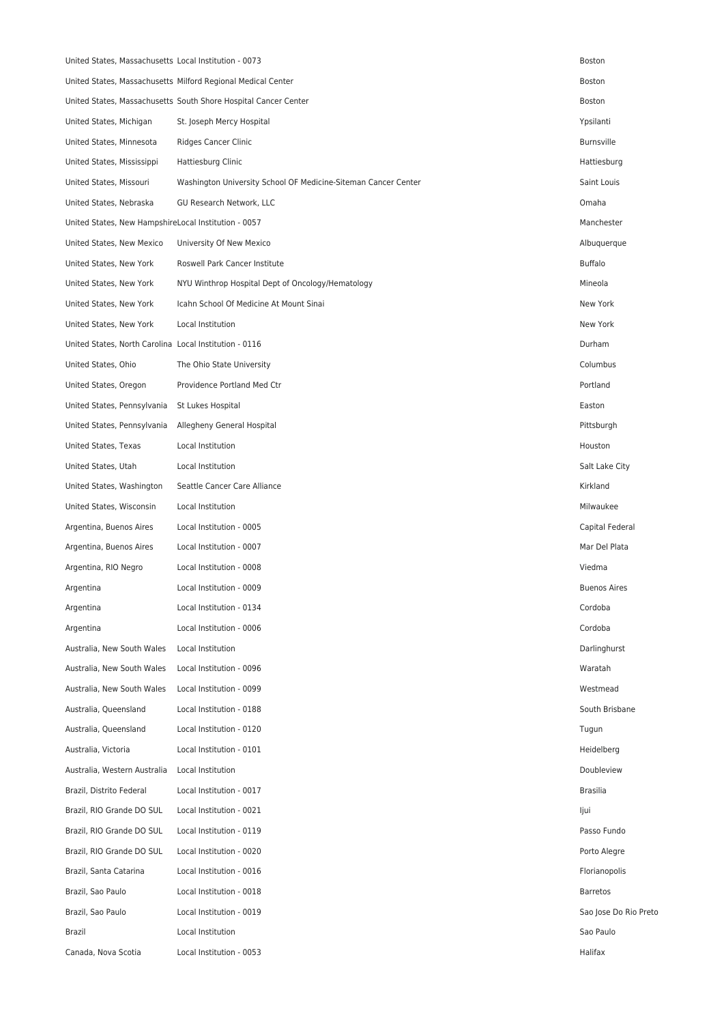| United States, Massachusetts Local Institution - 0073  |                                                                 | <b>Boston</b>         |
|--------------------------------------------------------|-----------------------------------------------------------------|-----------------------|
|                                                        | United States, Massachusetts Milford Regional Medical Center    | Boston                |
|                                                        | United States, Massachusetts South Shore Hospital Cancer Center | Boston                |
| United States, Michigan                                | St. Joseph Mercy Hospital                                       | Ypsilanti             |
| United States, Minnesota                               | Ridges Cancer Clinic                                            | <b>Burnsville</b>     |
| United States, Mississippi                             | Hattiesburg Clinic                                              | Hattiesburg           |
| United States, Missouri                                | Washington University School OF Medicine-Siteman Cancer Center  | Saint Louis           |
| United States, Nebraska                                | GU Research Network, LLC                                        | Omaha                 |
| United States, New HampshireLocal Institution - 0057   |                                                                 | Manchester            |
| United States, New Mexico                              | University Of New Mexico                                        | Albuquerque           |
| United States, New York                                | Roswell Park Cancer Institute                                   | <b>Buffalo</b>        |
| United States, New York                                | NYU Winthrop Hospital Dept of Oncology/Hematology               | Mineola               |
| United States, New York                                | Icahn School Of Medicine At Mount Sinai                         | New York              |
| United States, New York                                | Local Institution                                               | New York              |
| United States, North Carolina Local Institution - 0116 |                                                                 | Durham                |
| United States, Ohio                                    | The Ohio State University                                       | Columbus              |
| United States, Oregon                                  | Providence Portland Med Ctr                                     | Portland              |
| United States, Pennsylvania                            | St Lukes Hospital                                               | Easton                |
| United States, Pennsylvania                            | Allegheny General Hospital                                      | Pittsburgh            |
| United States, Texas                                   | Local Institution                                               | Houston               |
| United States, Utah                                    | Local Institution                                               | Salt Lake City        |
| United States, Washington                              | Seattle Cancer Care Alliance                                    | Kirkland              |
| United States, Wisconsin                               | Local Institution                                               | Milwaukee             |
| Argentina, Buenos Aires                                | Local Institution - 0005                                        | Capital Federal       |
| Argentina, Buenos Aires                                | Local Institution - 0007                                        | Mar Del Plata         |
| Argentina, RIO Negro                                   | Local Institution - 0008                                        | Viedma                |
| Argentina                                              | Local Institution - 0009                                        | <b>Buenos Aires</b>   |
| Argentina                                              | Local Institution - 0134                                        | Cordoba               |
| Argentina                                              | Local Institution - 0006                                        | Cordoba               |
| Australia, New South Wales                             | Local Institution                                               | Darlinghurst          |
| Australia, New South Wales                             | Local Institution - 0096                                        | Waratah               |
| Australia, New South Wales                             | Local Institution - 0099                                        | Westmead              |
| Australia, Queensland                                  | Local Institution - 0188                                        | South Brisbane        |
| Australia, Queensland                                  | Local Institution - 0120                                        | Tugun                 |
| Australia, Victoria                                    | Local Institution - 0101                                        | Heidelberg            |
| Australia, Western Australia                           | Local Institution                                               | Doubleview            |
| Brazil, Distrito Federal                               | Local Institution - 0017                                        | <b>Brasilia</b>       |
| Brazil, RIO Grande DO SUL                              | Local Institution - 0021                                        | ljui                  |
| Brazil, RIO Grande DO SUL                              | Local Institution - 0119                                        | Passo Fundo           |
| Brazil, RIO Grande DO SUL                              | Local Institution - 0020                                        | Porto Alegre          |
| Brazil, Santa Catarina                                 | Local Institution - 0016                                        | Florianopolis         |
| Brazil, Sao Paulo                                      | Local Institution - 0018                                        | Barretos              |
| Brazil, Sao Paulo                                      | Local Institution - 0019                                        | Sao Jose Do Rio Preto |
| Brazil                                                 | Local Institution                                               | Sao Paulo             |
| Canada, Nova Scotia                                    | Local Institution - 0053                                        | Halifax               |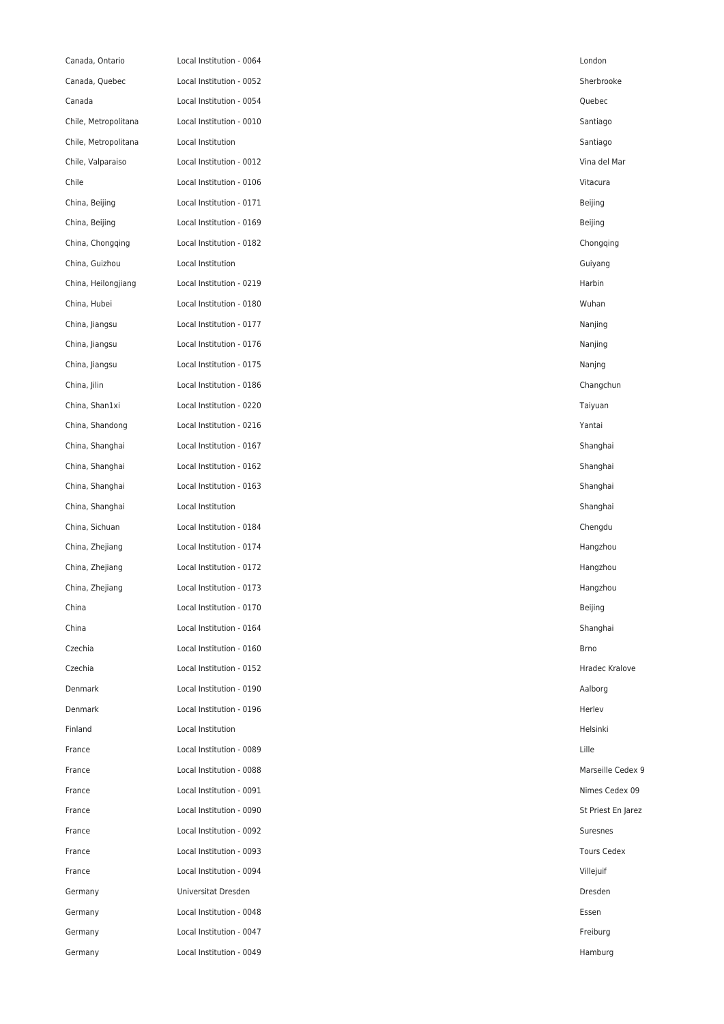| Canada, Ontario      | Local Institution - 0064 | London             |
|----------------------|--------------------------|--------------------|
| Canada, Quebec       | Local Institution - 0052 | Sherbrooke         |
| Canada               | Local Institution - 0054 | Quebec             |
| Chile, Metropolitana | Local Institution - 0010 | Santiago           |
| Chile, Metropolitana | Local Institution        | Santiago           |
| Chile, Valparaiso    | Local Institution - 0012 | Vina del Mar       |
| Chile                | Local Institution - 0106 | Vitacura           |
| China, Beijing       | Local Institution - 0171 | Beijing            |
| China, Beijing       | Local Institution - 0169 | Beijing            |
| China, Chongqing     | Local Institution - 0182 | Chongqing          |
| China, Guizhou       | Local Institution        | Guiyang            |
| China, Heilongjiang  | Local Institution - 0219 | Harbin             |
| China, Hubei         | Local Institution - 0180 | Wuhan              |
| China, Jiangsu       | Local Institution - 0177 | Nanjing            |
| China, Jiangsu       | Local Institution - 0176 | Nanjing            |
| China, Jiangsu       | Local Institution - 0175 | Nanjng             |
| China, Jilin         | Local Institution - 0186 | Changchun          |
| China, Shan1xi       | Local Institution - 0220 | Taiyuan            |
| China, Shandong      | Local Institution - 0216 | Yantai             |
| China, Shanghai      | Local Institution - 0167 | Shanghai           |
| China, Shanghai      | Local Institution - 0162 | Shanghai           |
| China, Shanghai      | Local Institution - 0163 | Shanghai           |
| China, Shanghai      | Local Institution        | Shanghai           |
| China, Sichuan       | Local Institution - 0184 | Chengdu            |
| China, Zhejiang      | Local Institution - 0174 | Hangzhou           |
| China, Zhejiang      | Local Institution - 0172 | Hangzhou           |
| China, Zhejiang      | Local Institution - 0173 | Hangzhou           |
| China                | Local Institution - 0170 | Beijing            |
| China                | Local Institution - 0164 | Shanghai           |
| Czechia              | Local Institution - 0160 | <b>Brno</b>        |
| Czechia              | Local Institution - 0152 | Hradec Krak        |
| Denmark              | Local Institution - 0190 | Aalborg            |
| Denmark              | Local Institution - 0196 | Herlev             |
| Finland              | Local Institution        | Helsinki           |
| France               | Local Institution - 0089 | Lille              |
| France               | Local Institution - 0088 | Marseille Ce       |
| France               | Local Institution - 0091 | Nimes Cede         |
| France               | Local Institution - 0090 | St Priest En       |
| France               | Local Institution - 0092 | Suresnes           |
| France               | Local Institution - 0093 | <b>Tours Cedex</b> |
| France               | Local Institution - 0094 | Villejuif          |
| Germany              | Universitat Dresden      | Dresden            |
| Germany              | Local Institution - 0048 | Essen              |
| Germany              | Local Institution - 0047 | Freiburg           |
| Germany              | Local Institution - 0049 | Hamburg            |

Hradec Kralove Marseille Cedex 9 Nimes Cedex 09 St Priest En Jarez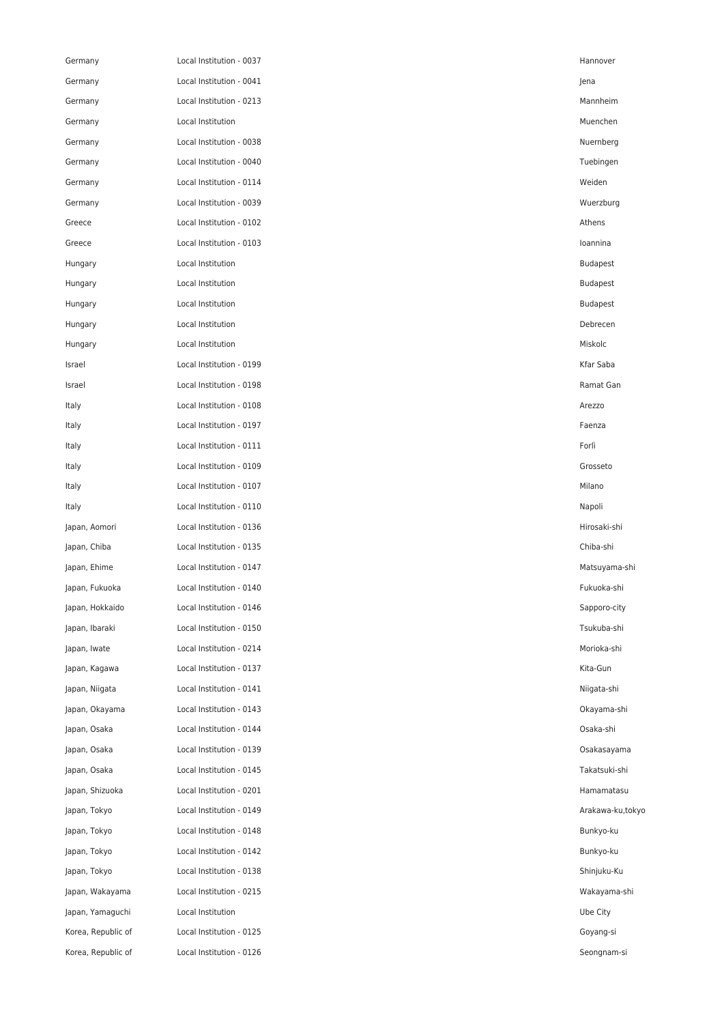| Germany            | Local Institution - 0037 | Hannover        |
|--------------------|--------------------------|-----------------|
| Germany            | Local Institution - 0041 | Jena            |
| Germany            | Local Institution - 0213 | Mannheim        |
| Germany            | Local Institution        | Muenchen        |
| Germany            | Local Institution - 0038 | Nuernberg       |
| Germany            | Local Institution - 0040 | Tuebingen       |
| Germany            | Local Institution - 0114 | Weiden          |
| Germany            | Local Institution - 0039 | Wuerzburg       |
| Greece             | Local Institution - 0102 | Athens          |
| Greece             | Local Institution - 0103 | loannina        |
| Hungary            | Local Institution        | <b>Budapest</b> |
| Hungary            | Local Institution        | <b>Budapest</b> |
| Hungary            | Local Institution        | <b>Budapest</b> |
| Hungary            | Local Institution        | Debrecen        |
| Hungary            | Local Institution        | Miskolc         |
| Israel             | Local Institution - 0199 | Kfar Saba       |
| Israel             | Local Institution - 0198 | Ramat Gan       |
| Italy              | Local Institution - 0108 | Arezzo          |
| Italy              | Local Institution - 0197 | Faenza          |
| Italy              | Local Institution - 0111 | Forlì           |
| Italy              | Local Institution - 0109 | Grosseto        |
| Italy              | Local Institution - 0107 | Milano          |
| Italy              | Local Institution - 0110 | Napoli          |
| Japan, Aomori      | Local Institution - 0136 | Hirosaki-shi    |
| Japan, Chiba       | Local Institution - 0135 | Chiba-shi       |
| Japan, Ehime       | Local Institution - 0147 | Matsuyama-sh    |
| Japan, Fukuoka     | Local Institution - 0140 | Fukuoka-shi     |
| Japan, Hokkaido    | Local Institution - 0146 | Sapporo-city    |
| Japan, Ibaraki     | Local Institution - 0150 | Tsukuba-shi     |
| Japan, Iwate       | Local Institution - 0214 | Morioka-shi     |
| Japan, Kagawa      | Local Institution - 0137 | Kita-Gun        |
| Japan, Niigata     | Local Institution - 0141 | Niigata-shi     |
| Japan, Okayama     | Local Institution - 0143 | Okayama-shi     |
| Japan, Osaka       | Local Institution - 0144 | Osaka-shi       |
| Japan, Osaka       | Local Institution - 0139 | Osakasayama     |
| Japan, Osaka       | Local Institution - 0145 | Takatsuki-shi   |
| Japan, Shizuoka    | Local Institution - 0201 | Hamamatasu      |
| Japan, Tokyo       | Local Institution - 0149 | Arakawa-ku,to   |
| Japan, Tokyo       | Local Institution - 0148 | Bunkyo-ku       |
| Japan, Tokyo       | Local Institution - 0142 | Bunkyo-ku       |
| Japan, Tokyo       | Local Institution - 0138 | Shinjuku-Ku     |
| Japan, Wakayama    | Local Institution - 0215 | Wakayama-sh     |
| Japan, Yamaguchi   | Local Institution        | Ube City        |
| Korea, Republic of | Local Institution - 0125 | Goyang-si       |
| Korea, Republic of | Local Institution - 0126 | Seongnam-si     |

Matsuyama-shi Arakawa-ku,tokyo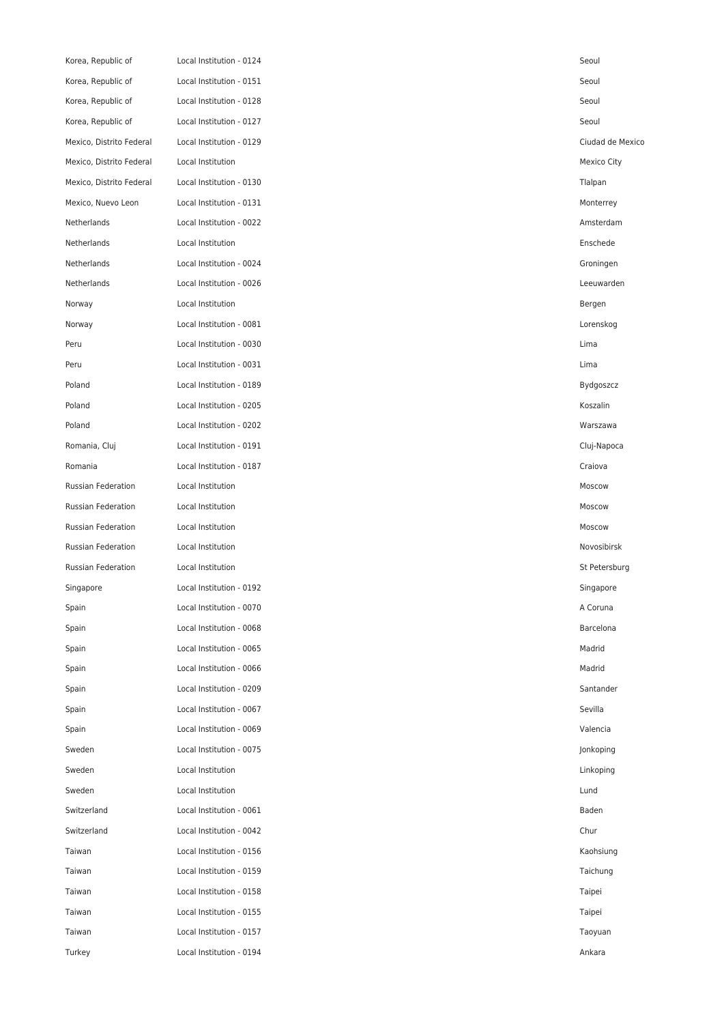| Korea, Republic of       | Local Institution - 0124 | Seoul         |
|--------------------------|--------------------------|---------------|
| Korea, Republic of       | Local Institution - 0151 | Seoul         |
| Korea, Republic of       | Local Institution - 0128 | Seoul         |
| Korea, Republic of       | Local Institution - 0127 | Seoul         |
| Mexico, Distrito Federal | Local Institution - 0129 | Ciudad de Me  |
| Mexico, Distrito Federal | Local Institution        | Mexico City   |
| Mexico, Distrito Federal | Local Institution - 0130 | Tlalpan       |
| Mexico, Nuevo Leon       | Local Institution - 0131 | Monterrey     |
| Netherlands              | Local Institution - 0022 | Amsterdam     |
| Netherlands              | Local Institution        | Enschede      |
| Netherlands              | Local Institution - 0024 | Groningen     |
| Netherlands              | Local Institution - 0026 | Leeuwarden    |
| Norway                   | Local Institution        | Bergen        |
| Norway                   | Local Institution - 0081 | Lorenskog     |
| Peru                     | Local Institution - 0030 | Lima          |
| Peru                     | Local Institution - 0031 | Lima          |
| Poland                   | Local Institution - 0189 | Bydgoszcz     |
| Poland                   | Local Institution - 0205 | Koszalin      |
| Poland                   | Local Institution - 0202 | Warszawa      |
| Romania, Cluj            | Local Institution - 0191 | Cluj-Napoca   |
| Romania                  | Local Institution - 0187 | Craiova       |
| Russian Federation       | Local Institution        | Moscow        |
| Russian Federation       | Local Institution        | Moscow        |
| Russian Federation       | Local Institution        | Moscow        |
| Russian Federation       | Local Institution        | Novosibirsk   |
| Russian Federation       | Local Institution        | St Petersburg |
| Singapore                | Local Institution - 0192 | Singapore     |
| Spain                    | Local Institution - 0070 | A Coruna      |
| Spain                    | Local Institution - 0068 | Barcelona     |
| Spain                    | Local Institution - 0065 | Madrid        |
| Spain                    | Local Institution - 0066 | Madrid        |
| Spain                    | Local Institution - 0209 | Santander     |
| Spain                    | Local Institution - 0067 | Sevilla       |
| Spain                    | Local Institution - 0069 | Valencia      |
| Sweden                   | Local Institution - 0075 | Jonkoping     |
| Sweden                   | Local Institution        | Linkoping     |
| Sweden                   | Local Institution        | Lund          |
| Switzerland              | Local Institution - 0061 | Baden         |
| Switzerland              | Local Institution - 0042 | Chur          |
| Taiwan                   | Local Institution - 0156 | Kaohsiung     |
| Taiwan                   | Local Institution - 0159 | Taichung      |
| Taiwan                   | Local Institution - 0158 | Taipei        |
| Taiwan                   | Local Institution - 0155 | Taipei        |
| Taiwan                   | Local Institution - 0157 | Taoyuan       |
| Turkey                   | Local Institution - 0194 | Ankara        |

Ciudad de Mexico